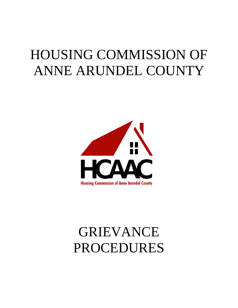# HOUSING COMMISSION OF ANNE ARUNDEL COUNTY



# GRIEVANCE PROCEDURES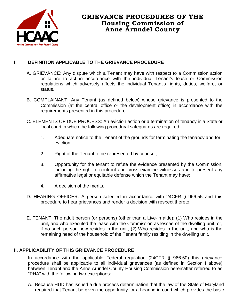

# **GRIEVANCE PROCEDURES OF THE Housing Commission of Anne Arundel County**

## **I. DEFINITION APPLICABLE TO THE GRIEVANCE PROCEDURE**

- A. GRIEVANCE: Any dispute which a Tenant may have with respect to a Commission action or failure to act in accordance with the individual Tenant's lease or Commission regulations which adversely affects the individual Tenant's rights, duties, welfare, or status.
- B. COMPLAINANT: Any Tenant (as defined below) whose grievance is presented to the Commission (at the central office or the development office) in accordance with the requirements presented in this procedure.
- C. ELEMENTS OF DUE PROCESS: An eviction action or a termination of tenancy in a State or local court in which the following procedural safeguards are required:
	- 1. Adequate notice to the Tenant of the grounds for terminating the tenancy and for eviction;
	- 2. Right of the Tenant to be represented by counsel;
	- 3. Opportunity for the tenant to refute the evidence presented by the Commission, including the right to confront and cross examine witnesses and to present any affirmative legal or equitable defense which the Tenant may have;
	- 4. A decision of the merits.
- D. HEARING OFFICER: A person selected in accordance with 24CFR § 966.55 and this procedure to hear grievances and render a decision with respect thereto.
- E. TENANT: The adult person (or persons) (other than a Live-in aide): (1) Who resides in the unit, and who executed the lease with the Commission as lessee of the dwelling unit, or, if no such person now resides in the unit, (2) Who resides in the unit, and who is the remaining head of the household of the Tenant family residing in the dwelling unit.

### **II. APPLICABILITY OF THIS GRIEVANCE PROCEDURE**

In accordance with the applicable Federal regulation (24CFR § 966.50) this grievance procedure shall be applicable to all individual grievances (as defined in Section I above) between Tenant and the Anne Arundel County Housing Commission hereinafter referred to as "PHA" with the following two exceptions:

A. Because HUD has issued a due process determination that the law of the State of Maryland required that Tenant be given the opportunity for a hearing in court which provides the basic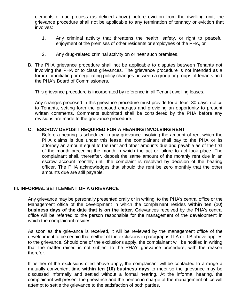elements of due process (as defined above) before eviction from the dwelling unit, the grievance procedure shall not be applicable to any termination of tenancy or eviction that involves:

- 1. Any criminal activity that threatens the health, safety, or right to peaceful enjoyment of the premises of other residents or employees of the PHA, or
- 2. Any drug-related criminal activity on or near such premises.
- B. The PHA grievance procedure shall not be applicable to disputes between Tenants not involving the PHA or to class grievances. The grievance procedure is not intended as a forum for initiating or negotiating policy changes between a group or groups of tenants and the PHA's Board of Commissioners.

This grievance procedure is incorporated by reference in all Tenant dwelling leases.

Any changes proposed in this grievance procedure must provide for at least 30 days' notice to Tenants, setting forth the proposed changes and providing an opportunity to present written comments. Comments submitted shall be considered by the PHA before any revisions are made to the grievance procedure.

#### **C. ESCROW DEPOSIT REQUIRED FOR A HEARING INVOLVING RENT**

Before a hearing is scheduled in any grievance involving the amount of rent which the PHA claims is due under this lease, the complainant shall pay to the PHA or its attorney an amount equal to the rent and other amounts due and payable as of the first of the month preceding the month in which the act or failure to act took place. The complainant shall, thereafter, deposit the same amount of the monthly rent due in an escrow account monthly until the complaint is resolved by decision of the hearing officer. The PHA acknowledges that should the rent be zero monthly that the other amounts due are still payable.

#### **III. INFORMAL SETTLEMENT OF A GRIEVANCE**

Any grievance may be personally presented orally or in writing, to the PHA's central office or the Management office of the development in which the complainant resides **within ten (10) business days of the date that is on the letter.** Grievances received by the PHA's central office will be referred to the person responsible for the management of the development in which the complainant resides.

As soon as the grievance is received, it will be reviewed by the management office of the development to be certain that neither of the exclusions in paragraphs I I.A or II.B above applies to the grievance. Should one of the exclusions apply, the complainant will be notified in writing that the matter raised is not subject to the PHA's grievance procedure, with the reason therefor.

If neither of the exclusions cited above apply, the complainant will be contacted to arrange a mutually convenient time **within ten (10) business days** to meet so the grievance may be discussed informally and settled without a formal hearing. At the informal hearing, the complainant will present the grievance and the person in charge of the management office will attempt to settle the grievance to the satisfaction of both parties.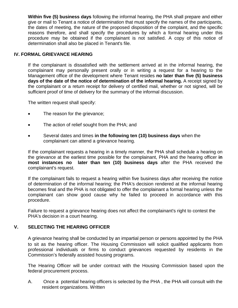**Within five (5) business days** following the informal hearing, the PHA shall prepare and either give or mail to Tenant a notice of determination that must specify the names of the participants, the dates of meeting, the nature of the proposed disposition of the complaint, and the specific reasons therefore, and shall specify the procedures by which a formal hearing under this procedure may be obtained if the complainant is not satisfied. A copy of this notice of determination shall also be placed in Tenant's file.

#### **IV. FORMAL GRIEVANCE HEARING**

If the complainant is dissatisfied with the settlement arrived at in the informal hearing, the complainant may personally present orally or in writing a request for a hearing to the Management office of the development where Tenant resides **no later than five (5) business days of the date of the notice of determination of the informal hearing.** A receipt signed by the complainant or a return receipt for delivery of certified mail, whether or not signed, will be sufficient proof of time of delivery for the summary of the informal discussion.

The written request shall specify:

- The reason for the grievance;
- The action of relief sought from the PHA; and
- Several dates and times **in the following ten (10) business days** when the complainant can attend a grievance hearing.

If the complainant requests a hearing in a timely manner, the PHA shall schedule a hearing on the grievance at the earliest time possible for the complainant, PHA and the hearing officer **in most instances no later than ten (10) business days** after the PHA received the complainant's request.

If the complainant fails to request a hearing within five business days after receiving the notice of determination of the informal hearing; the PHA's decision rendered at the informal hearing becomes final and the PHA is not obligated to offer the complainant a formal hearing unless the complainant can show good cause why he failed to proceed in accordance with this procedure.

Failure to request a grievance hearing does not affect the complainant's right to contest the PHA's decision in a court hearing.

#### **V. SELECTING THE HEARING OFFICER**

A grievance hearing shall be conducted by an impartial person or persons appointed by the PHA to sit as the hearing officer. The Housing Commission will solicit qualified applicants from professional individuals or firms to conduct grievances requested by residents in the Commission's federally assisted housing programs.

The Hearing Officer will be under contract with the Housing Commission based upon the federal procurement process.

A. Once a potential hearing officers is selected by the PHA , the PHA will consult with the resident organizations. Written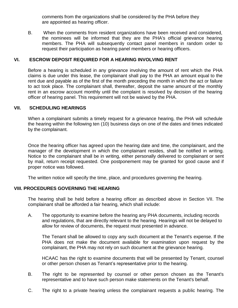comments from the organizations shall be considered by the PHA before they are appointed as hearing officer.

B. When the comments from resident organizations have been received and considered, the nominees will be informed that they are the PHA's official grievance hearing members. The PHA will subsequently contact panel members in random order to request their participation as hearing panel members or hearing officers.

#### **VI. ESCROW DEPOSIT REQUIRED FOR A HEARING INVOLVING RENT**

Before a hearing is scheduled in any grievance involving the amount of rent which the PHA claims is due under this lease, the complainant shall pay to the PHA an amount equal to the rent due and payable as of the first of the month preceding the month in which the act or failure to act took place. The complainant shall, thereafter, deposit the same amount of the monthly rent in an escrow account monthly until the complaint is resolved by decision of the hearing officer of hearing panel. This requirement will not be waived by the PHA.

#### **VII. SCHEDULING HEARINGS**

When a complainant submits a timely request for a grievance hearing, the PHA will schedule the hearing within the following ten (10) business days on one of the dates and times indicated by the complainant.

Once the hearing officer has agreed upon the hearing date and time, the complainant, and the manager of the development in which the complainant resides, shall be notified in writing. Notice to the complainant shall be in writing, either personally delivered to complainant or sent by mail, return receipt requested. One postponement may be granted for good cause and if proper notice was followed.

The written notice will specify the time, place, and procedures governing the hearing.

#### **VIII. PROCEDURES GOVERNING THE HEARING**

The hearing shall be held before a hearing officer as described above in Section VII. The complainant shall be afforded a fair hearing, which shall include:

A. The opportunity to examine before the hearing any PHA documents, including records and regulations, that are directly relevant to the hearing. Hearings will not be delayed to allow for review of documents, the request must presented in advance.

The Tenant shall be allowed to copy any such document at the Tenant's expense. If the PHA does not make the document available for examination upon request by the complainant, the PHA may not rely on such document at the grievance hearing.

HCAAC has the right to examine documents that will be presented by Tenant, counsel or other person chosen as Tenant's representative prior to the hearing.

- B. The right to be represented by counsel or other person chosen as the Tenant's representative and to have such person make statements on the Tenant's behalf.
- C. The right to a private hearing unless the complainant requests a public hearing. The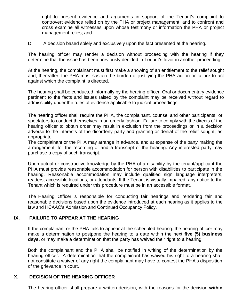right to present evidence and arguments in support of the Tenant's complaint to controvert evidence relied on by the PHA or project management, and to confront and cross examine all witnesses upon whose testimony or information the PHA or project management relies; and

D. A decision based solely and exclusively upon the fact presented at the hearing.

The hearing officer may render a decision without proceeding with the hearing if they determine that the issue has been previously decided in Tenant's favor in another proceeding.

At the hearing, the complainant must first make a showing of an entitlement to the relief sought and, thereafter, the PHA must sustain the burden of justifying the PHA action or failure to act against which the complaint is directed.

The hearing shall be conducted informally by the hearing officer. Oral or documentary evidence pertinent to the facts and issues raised by the complaint may be received without regard to admissibility under the rules of evidence applicable to judicial proceedings.

The hearing officer shall require the PHA, the complainant, counsel and other participants, or spectators to conduct themselves in an orderly fashion. Failure to comply with the directs of the hearing officer to obtain order may result in exclusion from the proceedings or in a decision adverse to the interests of the disorderly party and granting or denial of the relief sought, as appropriate.

The complainant or the PHA may arrange in advance, and at expense of the party making the arrangement, for the recording of and a transcript of the hearing. Any interested party may purchase a copy of such transcript.

Upon actual or constructive knowledge by the PHA of a disability by the tenant/applicant the PHA must provide reasonable accommodation for person with disabilities to participate in the hearing. Reasonable accommodation may include qualified sign language interpreters, readers, accessible locations, or attendants. If the Tenant is visually impaired, any notice to the Tenant which is required under this procedure must be in an accessible format.

The Hearing Officer is responsible for conducting fair hearings and rendering fair and reasonable decisions based upon the evidence introduced at each hearing as it applies to the law and HCAAC's Admission and Continued Occupancy Policy.

#### **IX. FAILURE TO APPEAR AT THE HEARING**

If the complainant or the PHA fails to appear at the scheduled hearing. the hearing officer may make a determination to postpone the hearing to a date within the next **five (5) business days,** or may make a determination that the party has waived their right to a hearing.

Both the complainant and the PHA shall be notified in writing of the determination by the hearing officer. A determination that the complainant has waived his right to a hearing shall not constitute a waiver of any right the complainant may have to contest the PHA's disposition of the grievance in court.

### **X. DECISION OF THE HEARING OFFICER**

The hearing officer shall prepare a written decision, with the reasons for the decision **within**